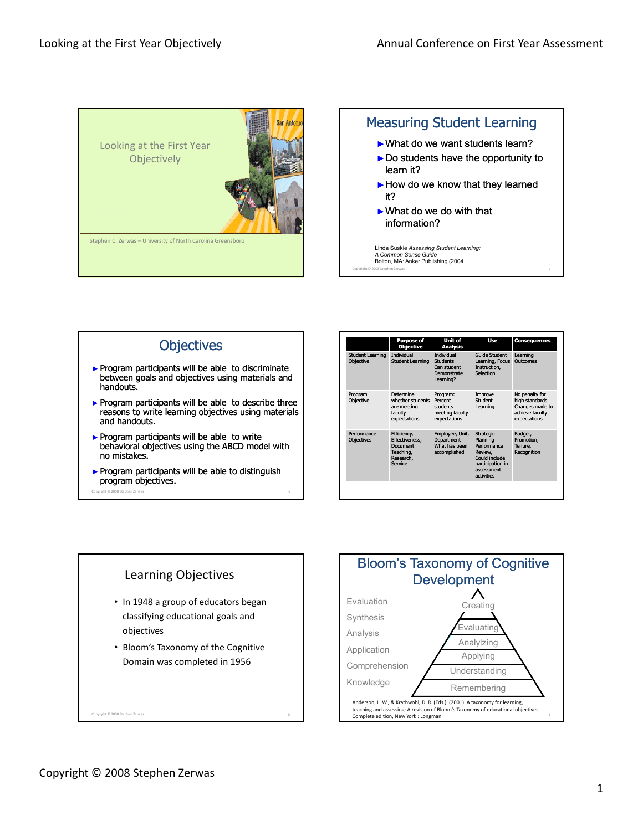



#### **Objectives**  $\blacktriangleright$  Program participants will be able to discriminate between goals and objectives using materials and handouts.  $\blacktriangleright$  Program participants will be able to describe three reasons to write learning objectives using materials and handouts.  $\blacktriangleright$  Program participants will be able to write behavioral objectives using the ABCD model with no mistakes.

 $\triangleright$  Program participants will be able to distinguish program objectives. Copyright © 2008 Stephen Zerwas 3

|                                      | <b>Purpose of</b><br><b>Objective</b>                                          | Unit of<br><b>Analysis</b>                                                             | <b>Use</b>                                                                                                              | <b>Consequences</b>                                                                    |
|--------------------------------------|--------------------------------------------------------------------------------|----------------------------------------------------------------------------------------|-------------------------------------------------------------------------------------------------------------------------|----------------------------------------------------------------------------------------|
| <b>Student Learning</b><br>Objective | <b>Individual</b><br><b>Student Learning</b>                                   | <b>Individual</b><br><b>Students</b><br>Can student<br><b>Demonstrate</b><br>Learning? | <b>Guide Student</b><br>Learning, Focus<br>Instruction.<br>Selection                                                    | Learning<br>Outcomes                                                                   |
| Program<br>Objective                 | Determine<br>whether students<br>are meeting<br>faculty<br>expectations        | Program:<br>Percent<br>students<br>meeting faculty<br>expectations                     | Improve<br>Student<br>Learning                                                                                          | No penalty for<br>high standards<br>Changes made to<br>achieve faculty<br>expectations |
| Performance<br><b>Objectives</b>     | Efficiency,<br>Effectiveness.<br>Document<br>Teaching,<br>Research.<br>Service | Employee, Unit,<br>Department<br>What has been<br>accomplished                         | <b>Strategic</b><br>Planning<br>Performance<br>Review,<br>Could include<br>participation in<br>assessment<br>activities | Budget,<br>Promotion,<br>Tenure,<br>Recognition                                        |

### Learning Objectives

- In 1948 a group of educators began classifying educational goals and objectives
- Bloom's Taxonomy of the Cognitive Domain was completed in 1956

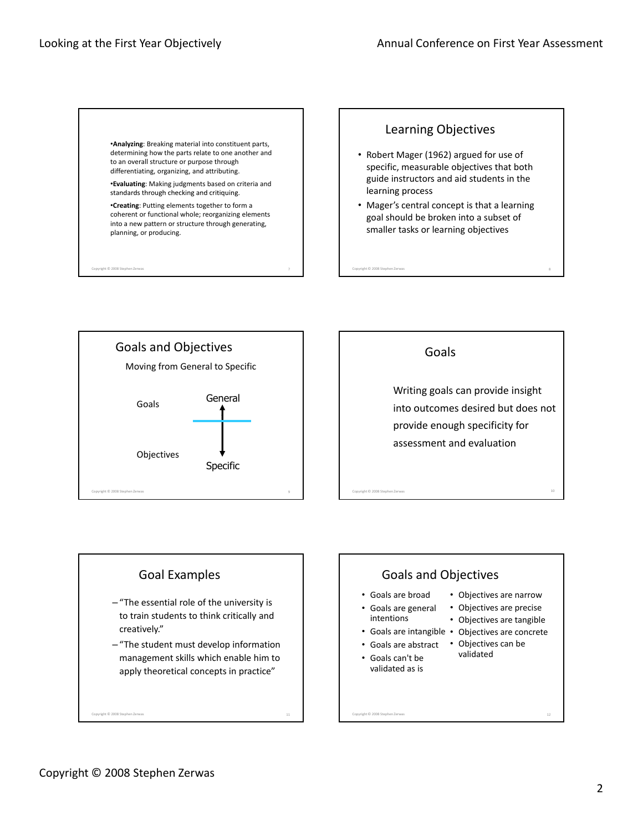**Analyzing**: Breaking material into constituent parts, determining how the parts relate to one another and to an overall structure or purpose through differentiating, organizing, and attributing.

G**Evaluating**: Making judgments based on criteria and standards through checking and critiquing.

G**Creating**: Putting elements together to form a coherent or functional whole; reorganizing elements into a new pattern or structure through generating, planning, or producing.

Copyright © 2008 Stephen Zerwas 7









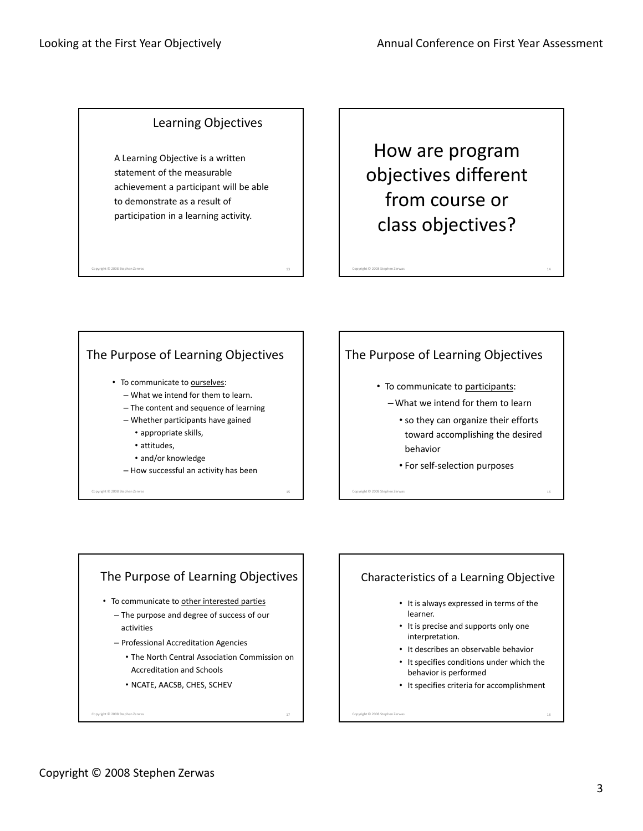### Learning Objectives

A Learning Objective is a written statement of the measurable achievement a participant will be able to demonstrate as a result of participation in a learning activity.

Copyright © 2008 Stephen Zerwas 13

How are program objectives different f from course or class objectives?

Copyright © 2008 Stephen Zerwas 14



# The Purpose of Learning Objectives

- To communicate to participants:
	- What we intend for them to learn
		- so they can organize their efforts toward accomplishing the desired behavior
		- For self-selection purposes

Copyright © 2008 Stephen Zerwas 16

# The Purpose of Learning Objectives

- To communicate to other interested parties
	- The purpose and degree of success of our activities

Copyright © 2008 Stephen Zerwas 17

- Professional Accreditation Agencies
	- The North Central Association Commission on Accreditation and Schools
	- NCATE, AACSB, CHES, SCHEV

### Characteristics of a Learning Objective

- It is always expressed in terms of the learner.
- It is precise and supports only one interpretation interpretation.
- It describes an observable behavior

- It specifies conditions under which the behavior is performed
- It specifies criteria for accomplishment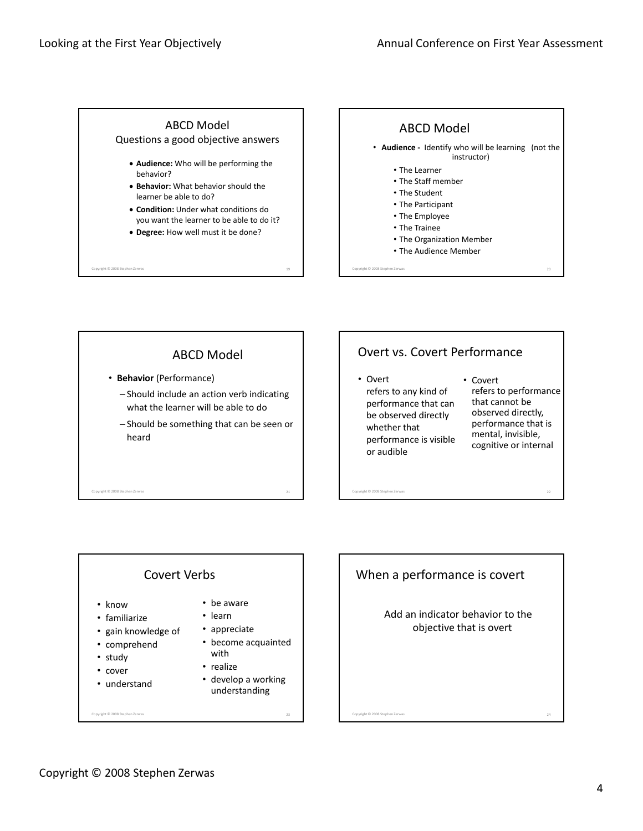





### Covert Verbs

- know
- familiarize
- gain knowledge of
- comprehend
- study
- cover
- understand

eht © 2008 Stephen Zerwa

- be aware
- learn
- appreciate
	- become acquainted with
	- realize
	- develop a working understanding

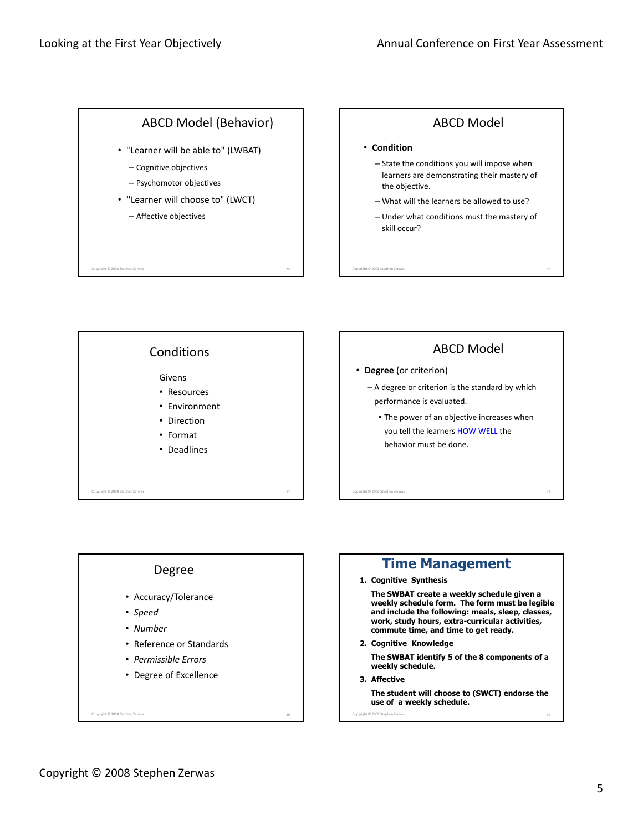### ABCD Model (Behavior)

- "Learner will be able to" (LWBAT)
	- Cognitive objectives
	- Psychomotor objectives
- G **"**Learner will choose to" (LWCT)

Copyright © 2008 Stephen Zerwas 25

- Affective objectives

# ABCD Model

#### **• Condition**

- State the conditions you will impose when learners are demonstrating their mastery of the objective.
- What will the learners be allowed to use?
- Under what conditions must the mastery of skill occur?

Copyright © 2008 Stephen Zerwas 26





### **Time Management**

**1. Cognitive Synthesis**

**The SWBAT create a weekly schedule given a weekly schedule form. The form must be legible and include the following: meals, sleep, classes, work, study hours, extra-curricular activities, commute time, and time to get ready.**

**2. Cognitive Knowledge**

**The SWBAT identify 5 of the 8 components of a weekly schedule.**

**3. Affective** 

**The student will choose to (SWCT) endorse the use of a weekly schedule.**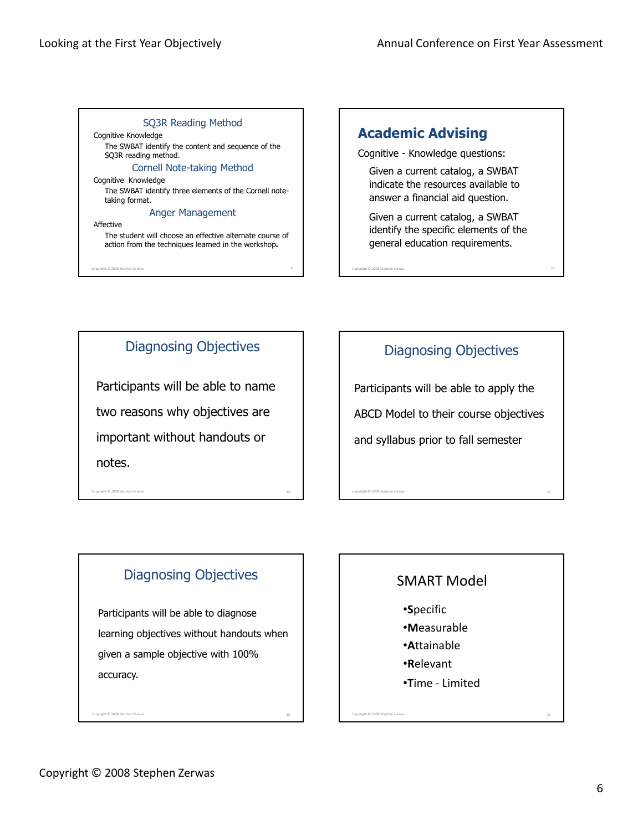ght © 2008 Stephen Zerwas

ight © 2008 Stephen Zerwas

#### SQ3R Reading Method Cognitive Knowledge The SWBAT identify the content and sequence of the SQ3R reading method. Cornell Note-taking Method Cognitive Knowledge The SWBAT identify three elements of the Cornell note-The SWBAT identify three elements of the Cornell note taking format. Anger Management Affective The student will choose an effective alternate course of action from the techniques learned in the workshop**.**

### **Academic Advising**

Cognitive - Knowledge questions:

Given a current catalog, a SWBAT indicate the resources available to answer a financial aid question.

Given a current catalog, a SWBAT identify the specific elements of the general education requirements.

Copyright © 2008 Stephen Zerwas 32

# Diagnosing Objectives

Participants will be able to name two reasons why objectives are important without handouts or notes.

# Diagnosing Objectives

Participants will be able to apply the ABCD Model to their course objectives and syllabus prior to fall semester

# Diagnosing Objectives

Participants will be able to diagnose learning objectives without handouts when given a sample objective with 100% accuracy.

# SMART Model

G**S**pecific

right © 2008 Stephen Zerwas

- G**M**easurable
- G**A**ttainable
- G**R**elevant
- **•Time Limited**

Copyright © 2008 Stephen Zerwas 36

eht © 2008 Stephen Zerw